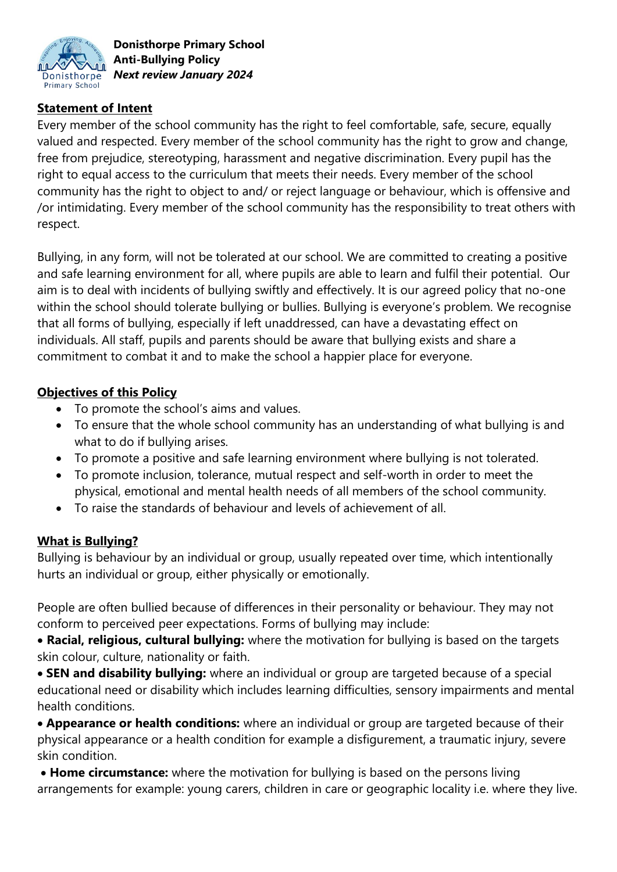

### **Statement of Intent**

Every member of the school community has the right to feel comfortable, safe, secure, equally valued and respected. Every member of the school community has the right to grow and change, free from prejudice, stereotyping, harassment and negative discrimination. Every pupil has the right to equal access to the curriculum that meets their needs. Every member of the school community has the right to object to and/ or reject language or behaviour, which is offensive and /or intimidating. Every member of the school community has the responsibility to treat others with respect.

Bullying, in any form, will not be tolerated at our school. We are committed to creating a positive and safe learning environment for all, where pupils are able to learn and fulfil their potential. Our aim is to deal with incidents of bullying swiftly and effectively. It is our agreed policy that no-one within the school should tolerate bullying or bullies. Bullying is everyone's problem. We recognise that all forms of bullying, especially if left unaddressed, can have a devastating effect on individuals. All staff, pupils and parents should be aware that bullying exists and share a commitment to combat it and to make the school a happier place for everyone.

#### **Objectives of this Policy**

- To promote the school's aims and values.
- To ensure that the whole school community has an understanding of what bullying is and what to do if bullying arises.
- To promote a positive and safe learning environment where bullying is not tolerated.
- To promote inclusion, tolerance, mutual respect and self-worth in order to meet the physical, emotional and mental health needs of all members of the school community.
- To raise the standards of behaviour and levels of achievement of all.

### **What is Bullying?**

Bullying is behaviour by an individual or group, usually repeated over time, which intentionally hurts an individual or group, either physically or emotionally.

People are often bullied because of differences in their personality or behaviour. They may not conform to perceived peer expectations. Forms of bullying may include:

 **Racial, religious, cultural bullying:** where the motivation for bullying is based on the targets skin colour, culture, nationality or faith.

 **SEN and disability bullying:** where an individual or group are targeted because of a special educational need or disability which includes learning difficulties, sensory impairments and mental health conditions.

 **Appearance or health conditions:** where an individual or group are targeted because of their physical appearance or a health condition for example a disfigurement, a traumatic injury, severe skin condition.

 **Home circumstance:** where the motivation for bullying is based on the persons living arrangements for example: young carers, children in care or geographic locality i.e. where they live.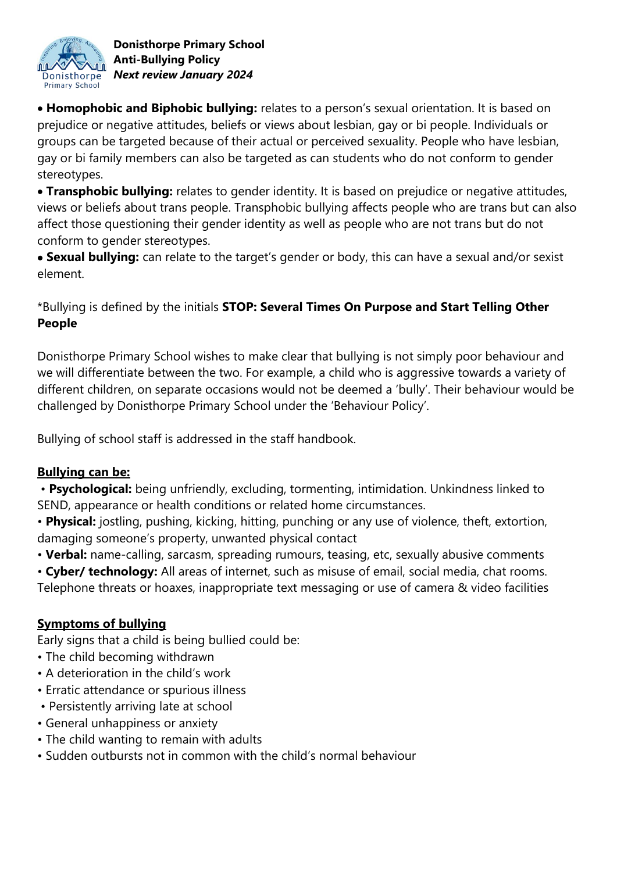

 **Homophobic and Biphobic bullying:** relates to a person's sexual orientation. It is based on prejudice or negative attitudes, beliefs or views about lesbian, gay or bi people. Individuals or groups can be targeted because of their actual or perceived sexuality. People who have lesbian, gay or bi family members can also be targeted as can students who do not conform to gender stereotypes.

 **Transphobic bullying:** relates to gender identity. It is based on prejudice or negative attitudes, views or beliefs about trans people. Transphobic bullying affects people who are trans but can also affect those questioning their gender identity as well as people who are not trans but do not conform to gender stereotypes.

 **Sexual bullying:** can relate to the target's gender or body, this can have a sexual and/or sexist element.

# \*Bullying is defined by the initials **STOP: Several Times On Purpose and Start Telling Other People**

Donisthorpe Primary School wishes to make clear that bullying is not simply poor behaviour and we will differentiate between the two. For example, a child who is aggressive towards a variety of different children, on separate occasions would not be deemed a 'bully'. Their behaviour would be challenged by Donisthorpe Primary School under the 'Behaviour Policy'.

Bullying of school staff is addressed in the staff handbook.

# **Bullying can be:**

- **Psychological:** being unfriendly, excluding, tormenting, intimidation. Unkindness linked to SEND, appearance or health conditions or related home circumstances.
- **Physical:** jostling, pushing, kicking, hitting, punching or any use of violence, theft, extortion, damaging someone's property, unwanted physical contact
- **Verbal:** name-calling, sarcasm, spreading rumours, teasing, etc, sexually abusive comments
- **Cyber/ technology:** All areas of internet, such as misuse of email, social media, chat rooms.
- Telephone threats or hoaxes, inappropriate text messaging or use of camera & video facilities

# **Symptoms of bullying**

Early signs that a child is being bullied could be:

- The child becoming withdrawn
- A deterioration in the child's work
- Erratic attendance or spurious illness
- Persistently arriving late at school
- General unhappiness or anxiety
- The child wanting to remain with adults
- Sudden outbursts not in common with the child's normal behaviour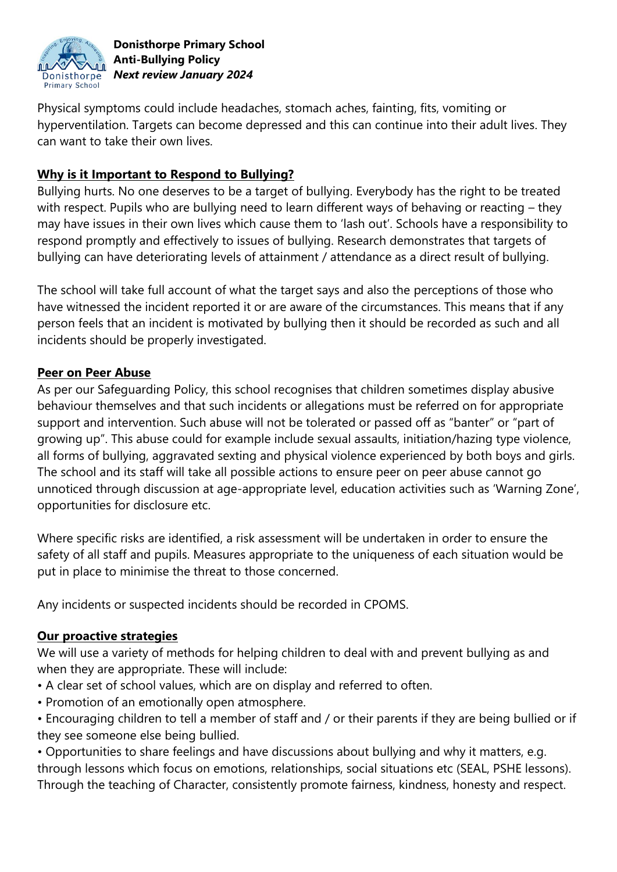

Physical symptoms could include headaches, stomach aches, fainting, fits, vomiting or hyperventilation. Targets can become depressed and this can continue into their adult lives. They can want to take their own lives.

### **Why is it Important to Respond to Bullying?**

Bullying hurts. No one deserves to be a target of bullying. Everybody has the right to be treated with respect. Pupils who are bullying need to learn different ways of behaving or reacting – they may have issues in their own lives which cause them to 'lash out'. Schools have a responsibility to respond promptly and effectively to issues of bullying. Research demonstrates that targets of bullying can have deteriorating levels of attainment / attendance as a direct result of bullying.

The school will take full account of what the target says and also the perceptions of those who have witnessed the incident reported it or are aware of the circumstances. This means that if any person feels that an incident is motivated by bullying then it should be recorded as such and all incidents should be properly investigated.

#### **Peer on Peer Abuse**

As per our Safeguarding Policy, this school recognises that children sometimes display abusive behaviour themselves and that such incidents or allegations must be referred on for appropriate support and intervention. Such abuse will not be tolerated or passed off as "banter" or "part of growing up". This abuse could for example include sexual assaults, initiation/hazing type violence, all forms of bullying, aggravated sexting and physical violence experienced by both boys and girls. The school and its staff will take all possible actions to ensure peer on peer abuse cannot go unnoticed through discussion at age-appropriate level, education activities such as 'Warning Zone', opportunities for disclosure etc.

Where specific risks are identified, a risk assessment will be undertaken in order to ensure the safety of all staff and pupils. Measures appropriate to the uniqueness of each situation would be put in place to minimise the threat to those concerned.

Any incidents or suspected incidents should be recorded in CPOMS.

#### **Our proactive strategies**

We will use a variety of methods for helping children to deal with and prevent bullying as and when they are appropriate. These will include:

- A clear set of school values, which are on display and referred to often.
- Promotion of an emotionally open atmosphere.
- Encouraging children to tell a member of staff and / or their parents if they are being bullied or if they see someone else being bullied.

• Opportunities to share feelings and have discussions about bullying and why it matters, e.g. through lessons which focus on emotions, relationships, social situations etc (SEAL, PSHE lessons). Through the teaching of Character, consistently promote fairness, kindness, honesty and respect.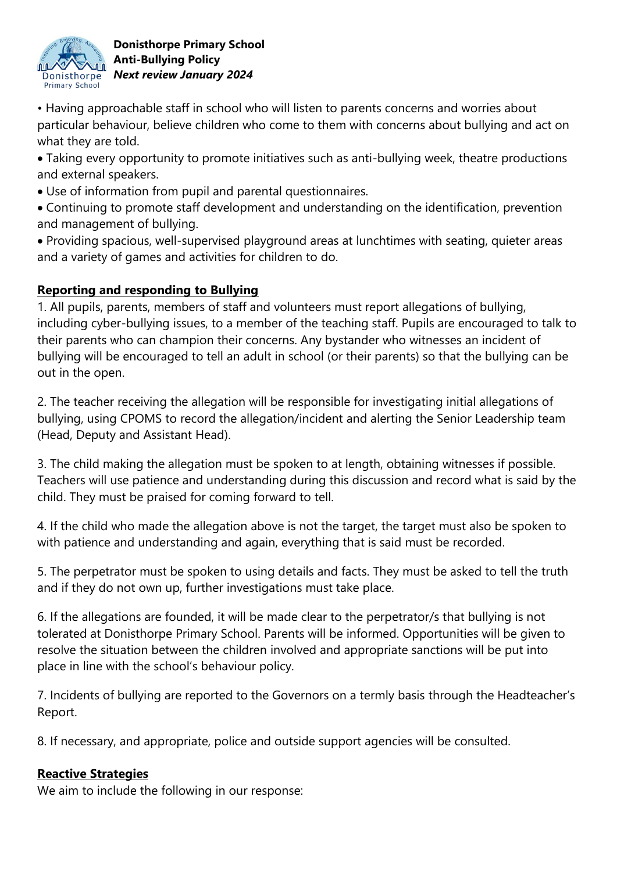

• Having approachable staff in school who will listen to parents concerns and worries about particular behaviour, believe children who come to them with concerns about bullying and act on what they are told.

 Taking every opportunity to promote initiatives such as anti-bullying week, theatre productions and external speakers.

Use of information from pupil and parental questionnaires.

 Continuing to promote staff development and understanding on the identification, prevention and management of bullying.

 Providing spacious, well-supervised playground areas at lunchtimes with seating, quieter areas and a variety of games and activities for children to do.

# **Reporting and responding to Bullying**

1. All pupils, parents, members of staff and volunteers must report allegations of bullying, including cyber-bullying issues, to a member of the teaching staff. Pupils are encouraged to talk to their parents who can champion their concerns. Any bystander who witnesses an incident of bullying will be encouraged to tell an adult in school (or their parents) so that the bullying can be out in the open.

2. The teacher receiving the allegation will be responsible for investigating initial allegations of bullying, using CPOMS to record the allegation/incident and alerting the Senior Leadership team (Head, Deputy and Assistant Head).

3. The child making the allegation must be spoken to at length, obtaining witnesses if possible. Teachers will use patience and understanding during this discussion and record what is said by the child. They must be praised for coming forward to tell.

4. If the child who made the allegation above is not the target, the target must also be spoken to with patience and understanding and again, everything that is said must be recorded.

5. The perpetrator must be spoken to using details and facts. They must be asked to tell the truth and if they do not own up, further investigations must take place.

6. If the allegations are founded, it will be made clear to the perpetrator/s that bullying is not tolerated at Donisthorpe Primary School. Parents will be informed. Opportunities will be given to resolve the situation between the children involved and appropriate sanctions will be put into place in line with the school's behaviour policy.

7. Incidents of bullying are reported to the Governors on a termly basis through the Headteacher's Report.

8. If necessary, and appropriate, police and outside support agencies will be consulted.

### **Reactive Strategies**

We aim to include the following in our response: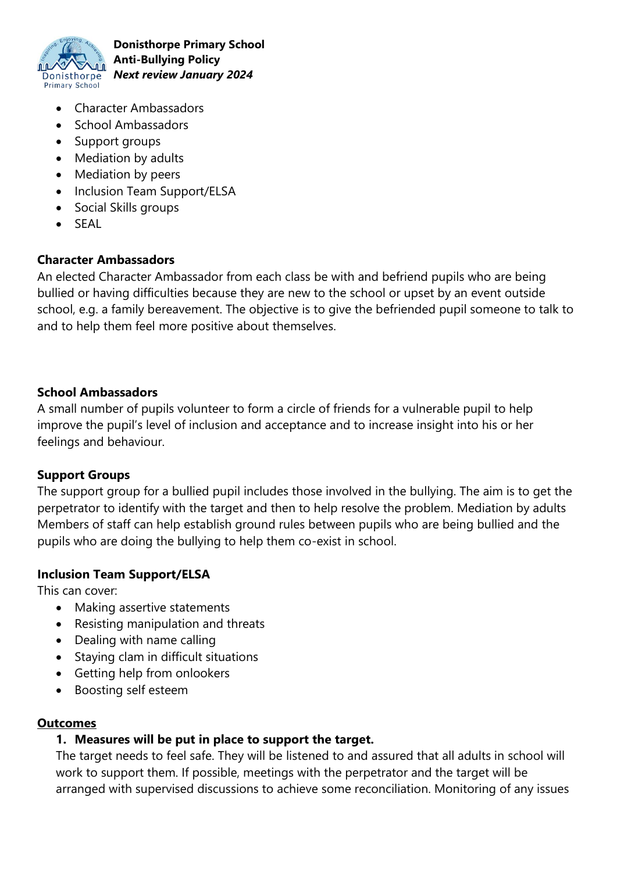

- Character Ambassadors
- School Ambassadors
- Support groups
- Mediation by adults
- Mediation by peers
- Inclusion Team Support/ELSA
- Social Skills groups
- $\bullet$  SFAL

### **Character Ambassadors**

An elected Character Ambassador from each class be with and befriend pupils who are being bullied or having difficulties because they are new to the school or upset by an event outside school, e.g. a family bereavement. The objective is to give the befriended pupil someone to talk to and to help them feel more positive about themselves.

#### **School Ambassadors**

A small number of pupils volunteer to form a circle of friends for a vulnerable pupil to help improve the pupil's level of inclusion and acceptance and to increase insight into his or her feelings and behaviour.

#### **Support Groups**

The support group for a bullied pupil includes those involved in the bullying. The aim is to get the perpetrator to identify with the target and then to help resolve the problem. Mediation by adults Members of staff can help establish ground rules between pupils who are being bullied and the pupils who are doing the bullying to help them co-exist in school.

#### **Inclusion Team Support/ELSA**

This can cover:

- Making assertive statements
- Resisting manipulation and threats
- Dealing with name calling
- Staying clam in difficult situations
- Getting help from onlookers
- Boosting self esteem

#### **Outcomes**

#### **1. Measures will be put in place to support the target.**

The target needs to feel safe. They will be listened to and assured that all adults in school will work to support them. If possible, meetings with the perpetrator and the target will be arranged with supervised discussions to achieve some reconciliation. Monitoring of any issues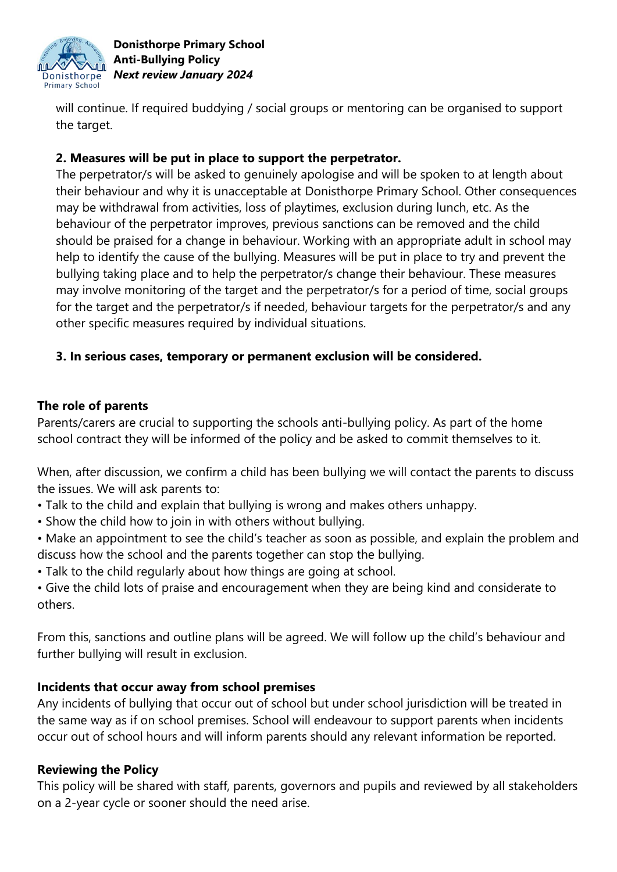

will continue. If required buddying / social groups or mentoring can be organised to support the target.

## **2. Measures will be put in place to support the perpetrator.**

The perpetrator/s will be asked to genuinely apologise and will be spoken to at length about their behaviour and why it is unacceptable at Donisthorpe Primary School. Other consequences may be withdrawal from activities, loss of playtimes, exclusion during lunch, etc. As the behaviour of the perpetrator improves, previous sanctions can be removed and the child should be praised for a change in behaviour. Working with an appropriate adult in school may help to identify the cause of the bullying. Measures will be put in place to try and prevent the bullying taking place and to help the perpetrator/s change their behaviour. These measures may involve monitoring of the target and the perpetrator/s for a period of time, social groups for the target and the perpetrator/s if needed, behaviour targets for the perpetrator/s and any other specific measures required by individual situations.

### **3. In serious cases, temporary or permanent exclusion will be considered.**

### **The role of parents**

Parents/carers are crucial to supporting the schools anti-bullying policy. As part of the home school contract they will be informed of the policy and be asked to commit themselves to it.

When, after discussion, we confirm a child has been bullying we will contact the parents to discuss the issues. We will ask parents to:

- Talk to the child and explain that bullying is wrong and makes others unhappy.
- Show the child how to join in with others without bullying.
- Make an appointment to see the child's teacher as soon as possible, and explain the problem and discuss how the school and the parents together can stop the bullying.
- Talk to the child regularly about how things are going at school.
- Give the child lots of praise and encouragement when they are being kind and considerate to others.

From this, sanctions and outline plans will be agreed. We will follow up the child's behaviour and further bullying will result in exclusion.

### **Incidents that occur away from school premises**

Any incidents of bullying that occur out of school but under school jurisdiction will be treated in the same way as if on school premises. School will endeavour to support parents when incidents occur out of school hours and will inform parents should any relevant information be reported.

### **Reviewing the Policy**

This policy will be shared with staff, parents, governors and pupils and reviewed by all stakeholders on a 2-year cycle or sooner should the need arise.